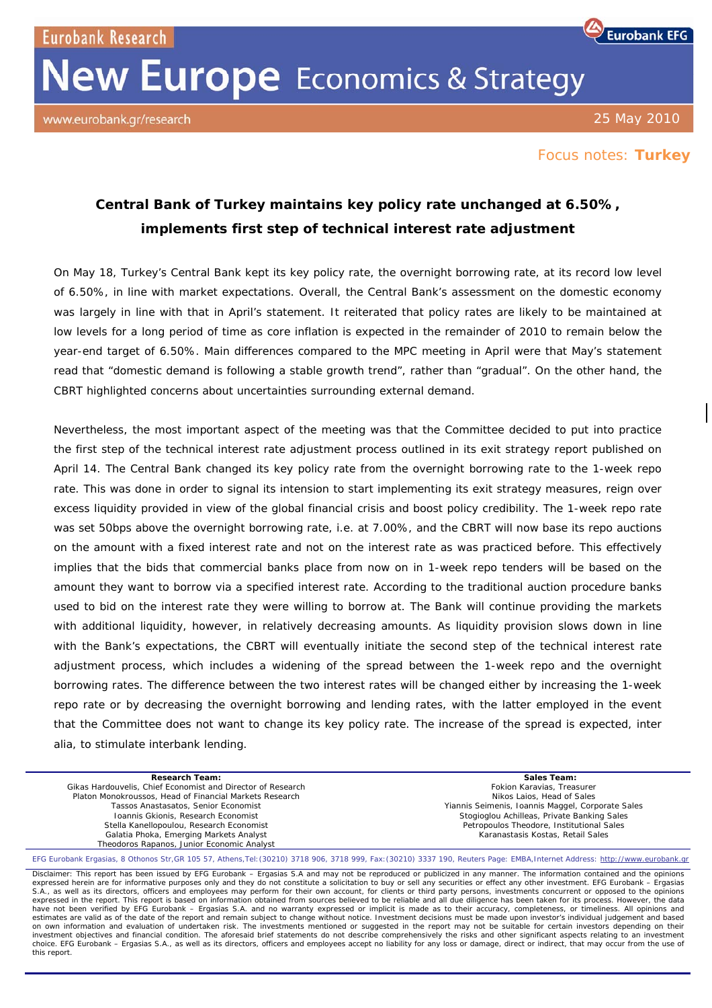**Eurobank Research** 

## **New Europe** Economics & Strategy

www.eurobank.gr/research

25 May 2010

**Eurobank EFG** 

## Focus notes: **Turkey**

## **Central Bank of Turkey maintains key policy rate unchanged at 6.50%, implements first step of technical interest rate adjustment**

On May 18, Turkey's Central Bank kept its key policy rate, the overnight borrowing rate, at its record low level of 6.50%, in line with market expectations. Overall, the Central Bank's assessment on the domestic economy was largely in line with that in April's statement. It reiterated that policy rates are likely to be maintained at low levels for a long period of time as core inflation is expected in the remainder of 2010 to remain below the year-end target of 6.50%. Main differences compared to the MPC meeting in April were that May's statement read that "domestic demand is following a stable growth trend", rather than "gradual". On the other hand, the CBRT highlighted concerns about uncertainties surrounding external demand.

Nevertheless, the most important aspect of the meeting was that the Committee decided to put into practice the first step of the technical interest rate adjustment process outlined in its exit strategy report published on April 14. The Central Bank changed its key policy rate from the overnight borrowing rate to the 1-week repo rate. This was done in order to signal its intension to start implementing its exit strategy measures, reign over excess liquidity provided in view of the global financial crisis and boost policy credibility. The 1-week repo rate was set 50bps above the overnight borrowing rate, i.e. at 7.00%, and the CBRT will now base its repo auctions on the amount with a fixed interest rate and not on the interest rate as was practiced before. This effectively implies that the bids that commercial banks place from now on in 1-week repo tenders will be based on the amount they want to borrow via a specified interest rate. According to the traditional auction procedure banks used to bid on the interest rate they were willing to borrow at. The Bank will continue providing the markets with additional liquidity, however, in relatively decreasing amounts. As liquidity provision slows down in line with the Bank's expectations, the CBRT will eventually initiate the second step of the technical interest rate adjustment process, which includes a widening of the spread between the 1-week repo and the overnight borrowing rates. The difference between the two interest rates will be changed either by increasing the 1-week repo rate or by decreasing the overnight borrowing and lending rates, with the latter employed in the event that the Committee does not want to change its key policy rate. The increase of the spread is expected, inter alia, to stimulate interbank lending.

| <b>Research Team:</b>                                                                                                                                                         | Sales Team:                                       |
|-------------------------------------------------------------------------------------------------------------------------------------------------------------------------------|---------------------------------------------------|
| Gikas Hardouvelis, Chief Economist and Director of Research                                                                                                                   | Fokion Karavias, Treasurer                        |
| Platon Monokroussos, Head of Financial Markets Research                                                                                                                       | Nikos Laios. Head of Sales                        |
| Tassos Anastasatos, Senior Economist                                                                                                                                          | Yiannis Seimenis, Ioannis Maggel, Corporate Sales |
| Ioannis Gkionis, Research Economist                                                                                                                                           | Stogioglou Achilleas, Private Banking Sales       |
| Stella Kanellopoulou, Research Economist                                                                                                                                      | Petropoulos Theodore, Institutional Sales         |
| Galatia Phoka, Emerging Markets Analyst                                                                                                                                       | Karanastasis Kostas, Retail Sales                 |
| Theodoros Rapanos, Junior Economic Analyst                                                                                                                                    |                                                   |
| EFG Eurobank Ergasias, 8 Othonos Str, GR 105 57, Athens, Tel: (30210) 3718 906, 3718 999, Fax: (30210) 3337 190, Reuters Page: EMBA, Internet Address: http://www.eurobank.gr |                                                   |

Disclaimer: This report has been issued by EFG Eurobank – Ergasias S.A and may not be reproduced or publicized in any manner. The information contained and the opinions expressed herein are for informative purposes only and they do not constitute a solicitation to buy or sell any securities or effect any other investment. EFG Eurobank – Ergasias<br>S.A., as well as its directors, officers an expressed in the report. This report is based on information obtained from sources believed to be reliable and all due diligence has been taken for its process. However, the data have not been verified by EFG Eurobank – Ergasias S.A. and no warranty expressed or implicit is made as to their accuracy, completeness, or timeliness. All opinions and estimates are valid as of the date of the report and remain subject to change without notice. Investment decisions must be made upon investor's individual judgement and based<br>on own information and evaluation of undertaken investment objectives and financial condition. The aforesaid brief statements do not describe comprehensively the risks and other significant aspects relating to an investment choice. EFG Eurobank – Ergasias S.A., as well as its directors, officers and employees accept no liability for any loss or damage, direct or indirect, that may occur from the use of this report.